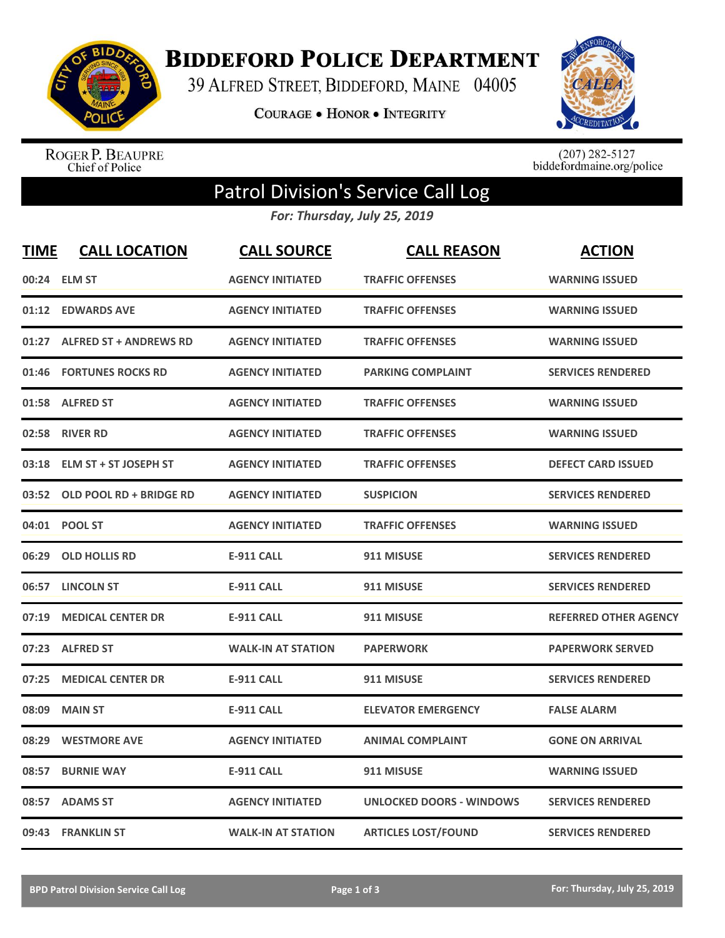

**BIDDEFORD POLICE DEPARTMENT** 

39 ALFRED STREET, BIDDEFORD, MAINE 04005

**COURAGE . HONOR . INTEGRITY** 



ROGER P. BEAUPRE<br>Chief of Police

 $(207)$  282-5127<br>biddefordmaine.org/police

## Patrol Division's Service Call Log

*For: Thursday, July 25, 2019*

| <b>TIME</b> | <b>CALL LOCATION</b>          | <b>CALL SOURCE</b>        | <b>CALL REASON</b>              | <b>ACTION</b>                |
|-------------|-------------------------------|---------------------------|---------------------------------|------------------------------|
|             | 00:24 ELM ST                  | <b>AGENCY INITIATED</b>   | <b>TRAFFIC OFFENSES</b>         | <b>WARNING ISSUED</b>        |
| 01:12       | <b>EDWARDS AVE</b>            | <b>AGENCY INITIATED</b>   | <b>TRAFFIC OFFENSES</b>         | <b>WARNING ISSUED</b>        |
| 01:27       | <b>ALFRED ST + ANDREWS RD</b> | <b>AGENCY INITIATED</b>   | <b>TRAFFIC OFFENSES</b>         | <b>WARNING ISSUED</b>        |
| 01:46       | <b>FORTUNES ROCKS RD</b>      | <b>AGENCY INITIATED</b>   | <b>PARKING COMPLAINT</b>        | <b>SERVICES RENDERED</b>     |
| 01:58       | <b>ALFRED ST</b>              | <b>AGENCY INITIATED</b>   | <b>TRAFFIC OFFENSES</b>         | <b>WARNING ISSUED</b>        |
|             | 02:58 RIVER RD                | <b>AGENCY INITIATED</b>   | <b>TRAFFIC OFFENSES</b>         | <b>WARNING ISSUED</b>        |
| 03:18       | <b>ELM ST + ST JOSEPH ST</b>  | <b>AGENCY INITIATED</b>   | <b>TRAFFIC OFFENSES</b>         | <b>DEFECT CARD ISSUED</b>    |
| 03:52       | OLD POOL RD + BRIDGE RD       | <b>AGENCY INITIATED</b>   | <b>SUSPICION</b>                | <b>SERVICES RENDERED</b>     |
|             | 04:01 POOL ST                 | <b>AGENCY INITIATED</b>   | <b>TRAFFIC OFFENSES</b>         | <b>WARNING ISSUED</b>        |
| 06:29       | <b>OLD HOLLIS RD</b>          | <b>E-911 CALL</b>         | 911 MISUSE                      | <b>SERVICES RENDERED</b>     |
|             | 06:57 LINCOLN ST              | <b>E-911 CALL</b>         | 911 MISUSE                      | <b>SERVICES RENDERED</b>     |
| 07:19       | <b>MEDICAL CENTER DR</b>      | <b>E-911 CALL</b>         | 911 MISUSE                      | <b>REFERRED OTHER AGENCY</b> |
| 07:23       | <b>ALFRED ST</b>              | <b>WALK-IN AT STATION</b> | <b>PAPERWORK</b>                | <b>PAPERWORK SERVED</b>      |
| 07:25       | <b>MEDICAL CENTER DR</b>      | <b>E-911 CALL</b>         | 911 MISUSE                      | <b>SERVICES RENDERED</b>     |
| 08:09       | <b>MAIN ST</b>                | <b>E-911 CALL</b>         | <b>ELEVATOR EMERGENCY</b>       | <b>FALSE ALARM</b>           |
| 08:29       | <b>WESTMORE AVE</b>           | <b>AGENCY INITIATED</b>   | <b>ANIMAL COMPLAINT</b>         | <b>GONE ON ARRIVAL</b>       |
| 08:57       | <b>BURNIE WAY</b>             | <b>E-911 CALL</b>         | 911 MISUSE                      | <b>WARNING ISSUED</b>        |
| 08:57       | <b>ADAMS ST</b>               | <b>AGENCY INITIATED</b>   | <b>UNLOCKED DOORS - WINDOWS</b> | <b>SERVICES RENDERED</b>     |
|             | 09:43 FRANKLIN ST             | <b>WALK-IN AT STATION</b> | <b>ARTICLES LOST/FOUND</b>      | <b>SERVICES RENDERED</b>     |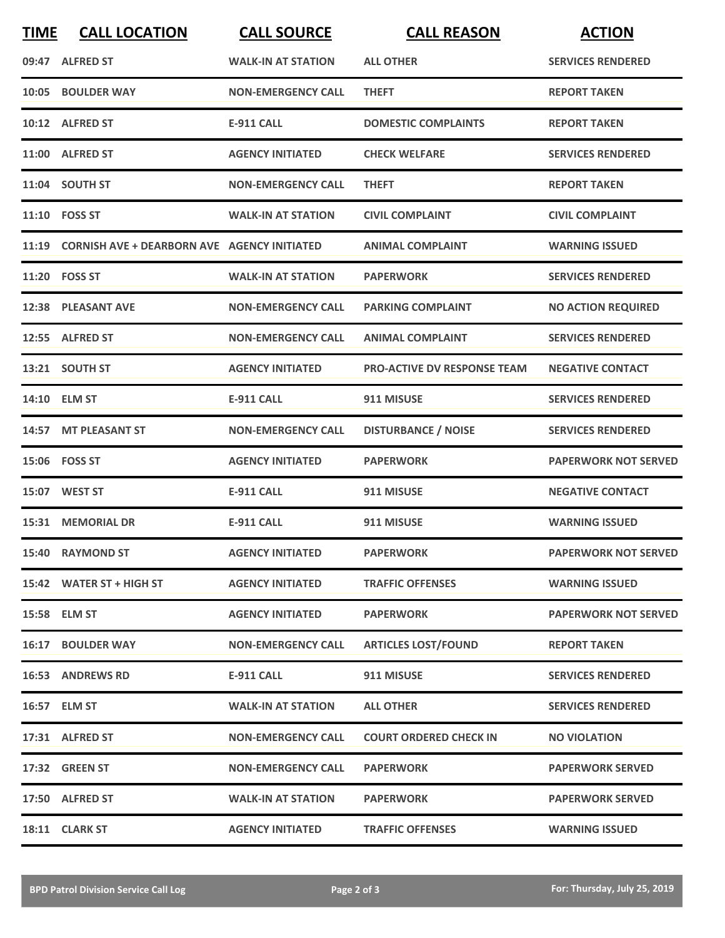| <b>TIME</b> | <b>CALL LOCATION</b>                              | <b>CALL SOURCE</b>        | <b>CALL REASON</b>                 | <b>ACTION</b>               |
|-------------|---------------------------------------------------|---------------------------|------------------------------------|-----------------------------|
|             | 09:47 ALFRED ST                                   | <b>WALK-IN AT STATION</b> | <b>ALL OTHER</b>                   | <b>SERVICES RENDERED</b>    |
| 10:05       | <b>BOULDER WAY</b>                                | <b>NON-EMERGENCY CALL</b> | <b>THEFT</b>                       | <b>REPORT TAKEN</b>         |
|             | 10:12 ALFRED ST                                   | <b>E-911 CALL</b>         | <b>DOMESTIC COMPLAINTS</b>         | <b>REPORT TAKEN</b>         |
|             | 11:00 ALFRED ST                                   | <b>AGENCY INITIATED</b>   | <b>CHECK WELFARE</b>               | <b>SERVICES RENDERED</b>    |
|             | 11:04 SOUTH ST                                    | <b>NON-EMERGENCY CALL</b> | <b>THEFT</b>                       | <b>REPORT TAKEN</b>         |
|             | 11:10 FOSS ST                                     | <b>WALK-IN AT STATION</b> | <b>CIVIL COMPLAINT</b>             | <b>CIVIL COMPLAINT</b>      |
|             | 11:19 CORNISH AVE + DEARBORN AVE AGENCY INITIATED |                           | <b>ANIMAL COMPLAINT</b>            | <b>WARNING ISSUED</b>       |
|             | 11:20 FOSS ST                                     | <b>WALK-IN AT STATION</b> | <b>PAPERWORK</b>                   | <b>SERVICES RENDERED</b>    |
|             | 12:38 PLEASANT AVE                                | <b>NON-EMERGENCY CALL</b> | <b>PARKING COMPLAINT</b>           | <b>NO ACTION REQUIRED</b>   |
|             | 12:55 ALFRED ST                                   | <b>NON-EMERGENCY CALL</b> | <b>ANIMAL COMPLAINT</b>            | <b>SERVICES RENDERED</b>    |
|             | 13:21 SOUTH ST                                    | <b>AGENCY INITIATED</b>   | <b>PRO-ACTIVE DV RESPONSE TEAM</b> | <b>NEGATIVE CONTACT</b>     |
|             | 14:10 ELM ST                                      | <b>E-911 CALL</b>         | 911 MISUSE                         | <b>SERVICES RENDERED</b>    |
|             | 14:57 MT PLEASANT ST                              | <b>NON-EMERGENCY CALL</b> | <b>DISTURBANCE / NOISE</b>         | <b>SERVICES RENDERED</b>    |
|             | 15:06    FOSS ST                                  | <b>AGENCY INITIATED</b>   | <b>PAPERWORK</b>                   | <b>PAPERWORK NOT SERVED</b> |
|             | 15:07 WEST ST                                     | <b>E-911 CALL</b>         | 911 MISUSE                         | <b>NEGATIVE CONTACT</b>     |
|             | 15:31 MEMORIAL DR                                 | <b>E-911 CALL</b>         | 911 MISUSE                         | <b>WARNING ISSUED</b>       |
|             | 15:40 RAYMOND ST                                  | <b>AGENCY INITIATED</b>   | <b>PAPERWORK</b>                   | <b>PAPERWORK NOT SERVED</b> |
|             | 15:42 WATER ST + HIGH ST                          | <b>AGENCY INITIATED</b>   | <b>TRAFFIC OFFENSES</b>            | <b>WARNING ISSUED</b>       |
|             | 15:58 ELM ST                                      | <b>AGENCY INITIATED</b>   | <b>PAPERWORK</b>                   | <b>PAPERWORK NOT SERVED</b> |
|             | <b>16:17 BOULDER WAY</b>                          | <b>NON-EMERGENCY CALL</b> | <b>ARTICLES LOST/FOUND</b>         | <b>REPORT TAKEN</b>         |
|             | <b>16:53 ANDREWS RD</b>                           | E-911 CALL                | 911 MISUSE                         | <b>SERVICES RENDERED</b>    |
|             | 16:57 ELM ST                                      | <b>WALK-IN AT STATION</b> | <b>ALL OTHER</b>                   | <b>SERVICES RENDERED</b>    |
|             | 17:31 ALFRED ST                                   | <b>NON-EMERGENCY CALL</b> | <b>COURT ORDERED CHECK IN</b>      | <b>NO VIOLATION</b>         |
|             | 17:32 GREEN ST                                    | <b>NON-EMERGENCY CALL</b> | <b>PAPERWORK</b>                   | <b>PAPERWORK SERVED</b>     |
|             | 17:50 ALFRED ST                                   | <b>WALK-IN AT STATION</b> | <b>PAPERWORK</b>                   | <b>PAPERWORK SERVED</b>     |
|             | 18:11 CLARK ST                                    | <b>AGENCY INITIATED</b>   | <b>TRAFFIC OFFENSES</b>            | <b>WARNING ISSUED</b>       |